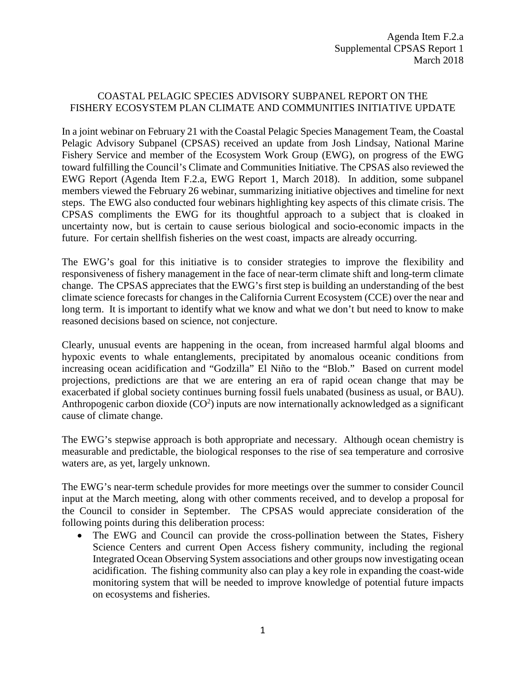## COASTAL PELAGIC SPECIES ADVISORY SUBPANEL REPORT ON THE FISHERY ECOSYSTEM PLAN CLIMATE AND COMMUNITIES INITIATIVE UPDATE

In a joint webinar on February 21 with the Coastal Pelagic Species Management Team, the Coastal Pelagic Advisory Subpanel (CPSAS) received an update from Josh Lindsay, National Marine Fishery Service and member of the Ecosystem Work Group (EWG), on progress of the EWG toward fulfilling the Council's Climate and Communities Initiative. The CPSAS also reviewed the EWG Report (Agenda Item F.2.a, EWG Report 1, March 2018). In addition, some subpanel members viewed the February 26 webinar, summarizing initiative objectives and timeline for next steps. The EWG also conducted four webinars highlighting key aspects of this climate crisis. The CPSAS compliments the EWG for its thoughtful approach to a subject that is cloaked in uncertainty now, but is certain to cause serious biological and socio-economic impacts in the future. For certain shellfish fisheries on the west coast, impacts are already occurring.

The EWG's goal for this initiative is to consider strategies to improve the flexibility and responsiveness of fishery management in the face of near-term climate shift and long-term climate change. The CPSAS appreciates that the EWG's first step is building an understanding of the best climate science forecasts for changes in the California Current Ecosystem (CCE) over the near and long term. It is important to identify what we know and what we don't but need to know to make reasoned decisions based on science, not conjecture.

Clearly, unusual events are happening in the ocean, from increased harmful algal blooms and hypoxic events to whale entanglements, precipitated by anomalous oceanic conditions from increasing ocean acidification and "Godzilla" El Niño to the "Blob." Based on current model projections, predictions are that we are entering an era of rapid ocean change that may be exacerbated if global society continues burning fossil fuels unabated (business as usual, or BAU). Anthropogenic carbon dioxide  $(CO<sup>2</sup>)$  inputs are now internationally acknowledged as a significant cause of climate change.

The EWG's stepwise approach is both appropriate and necessary. Although ocean chemistry is measurable and predictable, the biological responses to the rise of sea temperature and corrosive waters are, as yet, largely unknown.

The EWG's near-term schedule provides for more meetings over the summer to consider Council input at the March meeting, along with other comments received, and to develop a proposal for the Council to consider in September. The CPSAS would appreciate consideration of the following points during this deliberation process:

• The EWG and Council can provide the cross-pollination between the States, Fishery Science Centers and current Open Access fishery community, including the regional Integrated Ocean Observing System associations and other groups now investigating ocean acidification. The fishing community also can play a key role in expanding the coast-wide monitoring system that will be needed to improve knowledge of potential future impacts on ecosystems and fisheries.